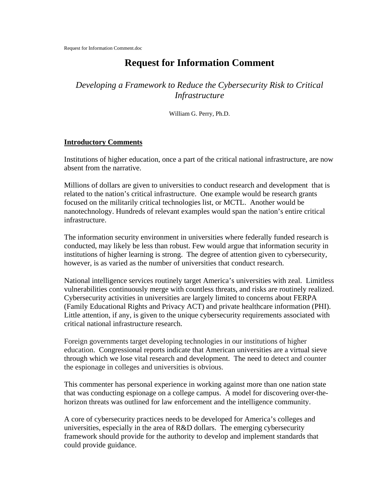# **Request for Information Comment**

*Developing a Framework to Reduce the Cybersecurity Risk to Critical Infrastructure*

William G. Perry, Ph.D.

#### **Introductory Comments**

Institutions of higher education, once a part of the critical national infrastructure, are now absent from the narrative.

Millions of dollars are given to universities to conduct research and development that is related to the nation's critical infrastructure. One example would be research grants focused on the militarily critical technologies list, or MCTL. Another would be nanotechnology. Hundreds of relevant examples would span the nation's entire critical infrastructure.

The information security environment in universities where federally funded research is conducted, may likely be less than robust. Few would argue that information security in institutions of higher learning is strong. The degree of attention given to cybersecurity, however, is as varied as the number of universities that conduct research.

National intelligence services routinely target America's universities with zeal. Limitless vulnerabilities continuously merge with countless threats, and risks are routinely realized. Cybersecurity activities in universities are largely limited to concerns about FERPA (Family Educational Rights and Privacy ACT) and private healthcare information (PHI). Little attention, if any, is given to the unique cybersecurity requirements associated with critical national infrastructure research.

Foreign governments target developing technologies in our institutions of higher education. Congressional reports indicate that American universities are a virtual sieve through which we lose vital research and development. The need to detect and counter the espionage in colleges and universities is obvious.

This commenter has personal experience in working against more than one nation state that was conducting espionage on a college campus. A model for discovering over-thehorizon threats was outlined for law enforcement and the intelligence community.

A core of cybersecurity practices needs to be developed for America's colleges and universities, especially in the area of R&D dollars. The emerging cybersecurity framework should provide for the authority to develop and implement standards that could provide guidance.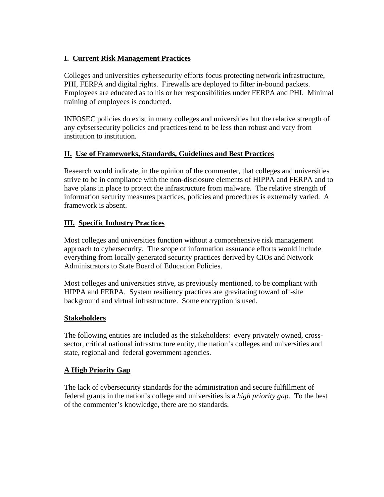# **I. Current Risk Management Practices**

Colleges and universities cybersecurity efforts focus protecting network infrastructure, PHI, FERPA and digital rights. Firewalls are deployed to filter in-bound packets. Employees are educated as to his or her responsibilities under FERPA and PHI. Minimal training of employees is conducted.

INFOSEC policies do exist in many colleges and universities but the relative strength of any cybsersecurity policies and practices tend to be less than robust and vary from institution to institution.

## **II. Use of Frameworks, Standards, Guidelines and Best Practices**

Research would indicate, in the opinion of the commenter, that colleges and universities strive to be in compliance with the non-disclosure elements of HIPPA and FERPA and to have plans in place to protect the infrastructure from malware. The relative strength of information security measures practices, policies and procedures is extremely varied. A framework is absent.

# **III. Specific Industry Practices**

Most colleges and universities function without a comprehensive risk management approach to cybersecurity. The scope of information assurance efforts would include everything from locally generated security practices derived by CIOs and Network Administrators to State Board of Education Policies.

Most colleges and universities strive, as previously mentioned, to be compliant with HIPPA and FERPA. System resiliency practices are gravitating toward off-site background and virtual infrastructure. Some encryption is used.

## **Stakeholders**

The following entities are included as the stakeholders: every privately owned, crosssector, critical national infrastructure entity, the nation's colleges and universities and state, regional and federal government agencies.

## **A High Priority Gap**

The lack of cybersecurity standards for the administration and secure fulfillment of federal grants in the nation's college and universities is a *high priority gap*. To the best of the commenter's knowledge, there are no standards.